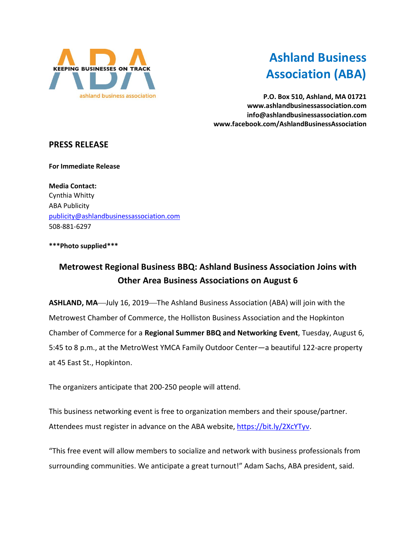

# **Ashland Business Association (ABA)**

**P.O. Box 510, Ashland, MA 01721 www.ashlandbusinessassociation.com info@ashlandbusinessassociation.com www.facebook.com/AshlandBusinessAssociation**

## **PRESS RELEASE**

**For Immediate Release**

**Media Contact:** Cynthia Whitty ABA Publicity [publicity@ashlandbusinessassociation.com](mailto:publicity@ashlandbusinessassociation.com) 508-881-6297

#### **\*\*\*Photo supplied\*\*\***

# **Metrowest Regional Business BBQ: Ashland Business Association Joins with Other Area Business Associations on August 6**

ASHLAND, MA-July 16, 2019-The Ashland Business Association (ABA) will join with the Metrowest Chamber of Commerce, the Holliston Business Association and the Hopkinton Chamber of Commerce for a **Regional Summer BBQ and Networking Event**, Tuesday, August 6, 5:45 to 8 p.m., at the MetroWest YMCA Family Outdoor Center—a beautiful 122-acre property at 45 East St., Hopkinton.

The organizers anticipate that 200-250 people will attend.

This business networking event is free to organization members and their spouse/partner. Attendees must register in advance on the ABA website, [https://bit.ly/2XcYTyv.](https://bit.ly/2XcYTyv)

"This free event will allow members to socialize and network with business professionals from surrounding communities. We anticipate a great turnout!" Adam Sachs, ABA president, said.